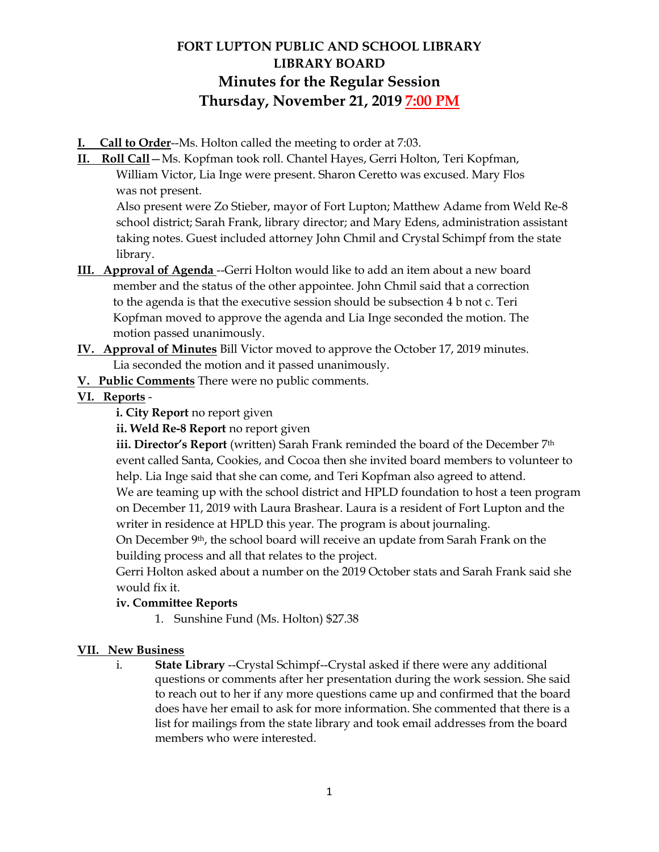# **FORT LUPTON PUBLIC AND SCHOOL LIBRARY LIBRARY BOARD Minutes for the Regular Session Thursday, November 21, 2019 7:00 PM**

- **I. Call to Order**--Ms. Holton called the meeting to order at 7:03.
- **II. Roll Call**—Ms. Kopfman took roll. Chantel Hayes, Gerri Holton, Teri Kopfman, William Victor, Lia Inge were present. Sharon Ceretto was excused. Mary Flos was not present.

Also present were Zo Stieber, mayor of Fort Lupton; Matthew Adame from Weld Re-8 school district; Sarah Frank, library director; and Mary Edens, administration assistant taking notes. Guest included attorney John Chmil and Crystal Schimpf from the state library.

- **III. Approval of Agenda** --Gerri Holton would like to add an item about a new board member and the status of the other appointee. John Chmil said that a correction to the agenda is that the executive session should be subsection 4 b not c. Teri Kopfman moved to approve the agenda and Lia Inge seconded the motion. The motion passed unanimously.
- **IV. Approval of Minutes** Bill Victor moved to approve the October 17, 2019 minutes. Lia seconded the motion and it passed unanimously.
- **V. Public Comments** There were no public comments.

# **VI. Reports** -

**i. City Report** no report given

**ii. Weld Re-8 Report** no report given

**iii. Director's Report** (written) Sarah Frank reminded the board of the December 7<sup>th</sup> event called Santa, Cookies, and Cocoa then she invited board members to volunteer to help. Lia Inge said that she can come, and Teri Kopfman also agreed to attend. We are teaming up with the school district and HPLD foundation to host a teen program on December 11, 2019 with Laura Brashear. Laura is a resident of Fort Lupton and the writer in residence at HPLD this year. The program is about journaling.

On December 9th, the school board will receive an update from Sarah Frank on the building process and all that relates to the project.

Gerri Holton asked about a number on the 2019 October stats and Sarah Frank said she would fix it.

# **iv. Committee Reports**

1. Sunshine Fund (Ms. Holton) \$27.38

#### **VII. New Business**

i. **State Library** --Crystal Schimpf--Crystal asked if there were any additional questions or comments after her presentation during the work session. She said to reach out to her if any more questions came up and confirmed that the board does have her email to ask for more information. She commented that there is a list for mailings from the state library and took email addresses from the board members who were interested.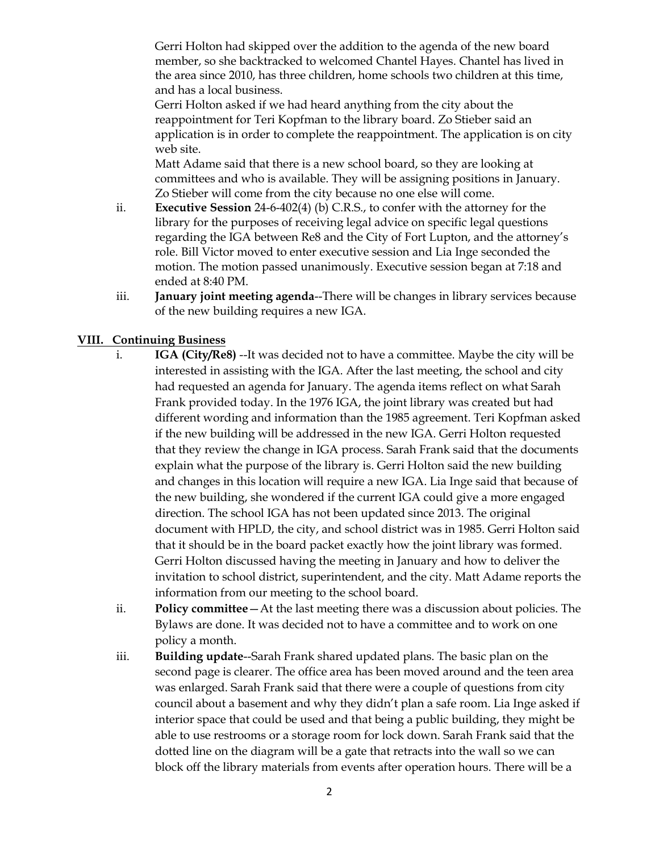Gerri Holton had skipped over the addition to the agenda of the new board member, so she backtracked to welcomed Chantel Hayes. Chantel has lived in the area since 2010, has three children, home schools two children at this time, and has a local business.

Gerri Holton asked if we had heard anything from the city about the reappointment for Teri Kopfman to the library board. Zo Stieber said an application is in order to complete the reappointment. The application is on city web site.

Matt Adame said that there is a new school board, so they are looking at committees and who is available. They will be assigning positions in January. Zo Stieber will come from the city because no one else will come.

- ii. **Executive Session** 24-6-402(4) (b) C.R.S., to confer with the attorney for the library for the purposes of receiving legal advice on specific legal questions regarding the IGA between Re8 and the City of Fort Lupton, and the attorney's role. Bill Victor moved to enter executive session and Lia Inge seconded the motion. The motion passed unanimously. Executive session began at 7:18 and ended at 8:40 PM.
- iii. **January joint meeting agenda**--There will be changes in library services because of the new building requires a new IGA.

# **VIII. Continuing Business**

- i. **IGA (City/Re8)** --It was decided not to have a committee. Maybe the city will be interested in assisting with the IGA. After the last meeting, the school and city had requested an agenda for January. The agenda items reflect on what Sarah Frank provided today. In the 1976 IGA, the joint library was created but had different wording and information than the 1985 agreement. Teri Kopfman asked if the new building will be addressed in the new IGA. Gerri Holton requested that they review the change in IGA process. Sarah Frank said that the documents explain what the purpose of the library is. Gerri Holton said the new building and changes in this location will require a new IGA. Lia Inge said that because of the new building, she wondered if the current IGA could give a more engaged direction. The school IGA has not been updated since 2013. The original document with HPLD, the city, and school district was in 1985. Gerri Holton said that it should be in the board packet exactly how the joint library was formed. Gerri Holton discussed having the meeting in January and how to deliver the invitation to school district, superintendent, and the city. Matt Adame reports the information from our meeting to the school board.
- ii. **Policy committee**—At the last meeting there was a discussion about policies. The Bylaws are done. It was decided not to have a committee and to work on one policy a month.
- iii. **Building update**--Sarah Frank shared updated plans. The basic plan on the second page is clearer. The office area has been moved around and the teen area was enlarged. Sarah Frank said that there were a couple of questions from city council about a basement and why they didn't plan a safe room. Lia Inge asked if interior space that could be used and that being a public building, they might be able to use restrooms or a storage room for lock down. Sarah Frank said that the dotted line on the diagram will be a gate that retracts into the wall so we can block off the library materials from events after operation hours. There will be a